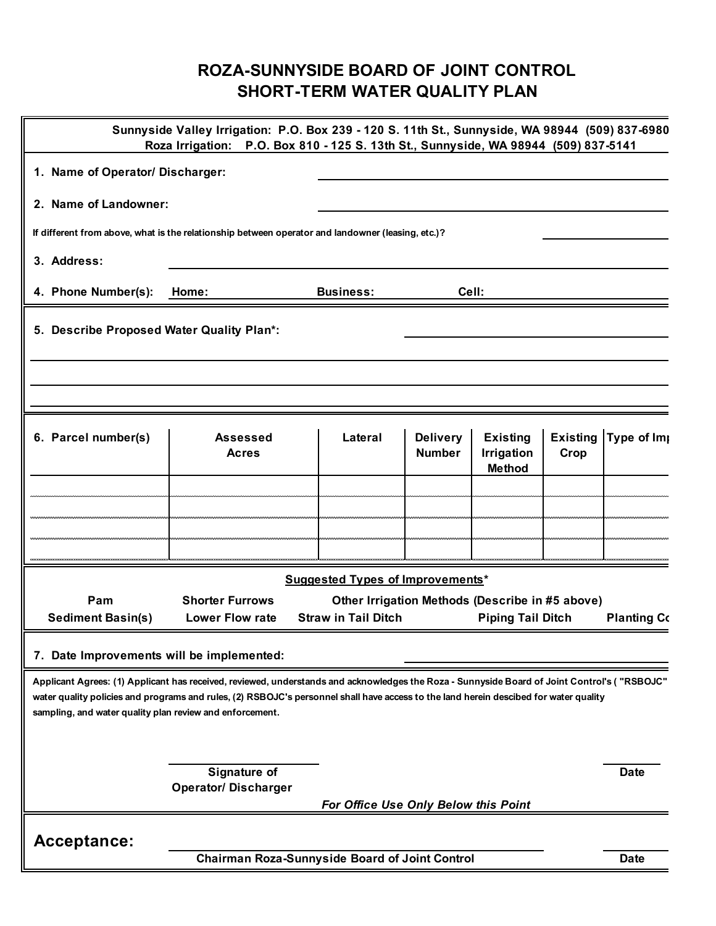## **ROZA-SUNNYSIDE BOARD OF JOINT CONTROL SHORT-TERM WATER QUALITY PLAN**

|                                                          | Sunnyside Valley Irrigation: P.O. Box 239 - 120 S. 11th St., Sunnyside, WA 98944 (509) 837-6980<br>Roza Irrigation: P.O. Box 810 - 125 S. 13th St., Sunnyside, WA 98944 (509) 837-5141                                                                                                |                                                                                                           |                                  |                                                |      |                      |
|----------------------------------------------------------|---------------------------------------------------------------------------------------------------------------------------------------------------------------------------------------------------------------------------------------------------------------------------------------|-----------------------------------------------------------------------------------------------------------|----------------------------------|------------------------------------------------|------|----------------------|
| 1. Name of Operator/ Discharger:                         |                                                                                                                                                                                                                                                                                       |                                                                                                           |                                  |                                                |      |                      |
| 2. Name of Landowner:                                    |                                                                                                                                                                                                                                                                                       |                                                                                                           |                                  |                                                |      |                      |
|                                                          | If different from above, what is the relationship between operator and landowner (leasing, etc.)?                                                                                                                                                                                     |                                                                                                           |                                  |                                                |      |                      |
| 3. Address:                                              |                                                                                                                                                                                                                                                                                       |                                                                                                           |                                  |                                                |      |                      |
| 4. Phone Number(s):                                      | Home:                                                                                                                                                                                                                                                                                 | <b>Business:</b>                                                                                          | Cell:                            |                                                |      |                      |
| 5. Describe Proposed Water Quality Plan*:                |                                                                                                                                                                                                                                                                                       |                                                                                                           |                                  |                                                |      |                      |
|                                                          |                                                                                                                                                                                                                                                                                       |                                                                                                           |                                  |                                                |      |                      |
| 6. Parcel number(s)                                      | <b>Assessed</b><br><b>Acres</b>                                                                                                                                                                                                                                                       | Lateral                                                                                                   | <b>Delivery</b><br><b>Number</b> | <b>Existing</b><br>Irrigation<br><b>Method</b> | Crop | Existing Type of Imp |
|                                                          |                                                                                                                                                                                                                                                                                       |                                                                                                           |                                  |                                                |      |                      |
|                                                          |                                                                                                                                                                                                                                                                                       |                                                                                                           |                                  |                                                |      |                      |
|                                                          |                                                                                                                                                                                                                                                                                       |                                                                                                           |                                  |                                                |      |                      |
|                                                          |                                                                                                                                                                                                                                                                                       | <b>Suggested Types of Improvements*</b>                                                                   |                                  |                                                |      |                      |
| Pam<br><b>Sediment Basin(s)</b>                          | <b>Shorter Furrows</b><br><b>Lower Flow rate</b>                                                                                                                                                                                                                                      | Other Irrigation Methods (Describe in #5 above)<br><b>Straw in Tail Ditch</b><br><b>Piping Tail Ditch</b> |                                  |                                                |      | <b>Planting Co</b>   |
| 7. Date Improvements will be implemented:                |                                                                                                                                                                                                                                                                                       |                                                                                                           |                                  |                                                |      |                      |
| sampling, and water quality plan review and enforcement. | Applicant Agrees: (1) Applicant has received, reviewed, understands and acknowledges the Roza - Sunnyside Board of Joint Control's ("RSBOJC"<br>water quality policies and programs and rules, (2) RSBOJC's personnel shall have access to the land herein descibed for water quality |                                                                                                           |                                  |                                                |      |                      |
|                                                          |                                                                                                                                                                                                                                                                                       |                                                                                                           |                                  |                                                |      |                      |
|                                                          | Signature of<br><b>Operator/ Discharger</b>                                                                                                                                                                                                                                           |                                                                                                           |                                  |                                                |      | <b>Date</b>          |
|                                                          |                                                                                                                                                                                                                                                                                       | For Office Use Only Below this Point                                                                      |                                  |                                                |      |                      |
| Acceptance:                                              |                                                                                                                                                                                                                                                                                       |                                                                                                           |                                  |                                                |      |                      |
|                                                          | <b>Chairman Roza-Sunnyside Board of Joint Control</b>                                                                                                                                                                                                                                 |                                                                                                           |                                  |                                                |      | <b>Date</b>          |